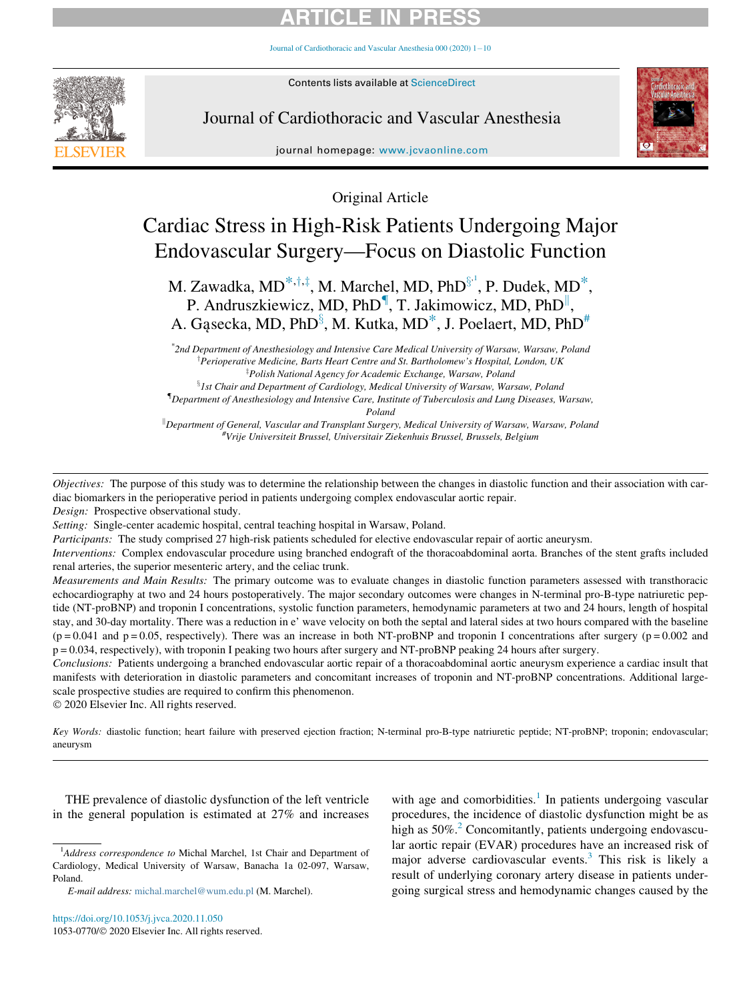[Journal of Cardiothoracic and Vascular Anesthesia 000 \(2020\) 1](https://doi.org/10.1053/j.jvca.2020.11.050)-[10](https://doi.org/10.1053/j.jvca.2020.11.050)



Contents lists available at ScienceDirect

Journal of Cardiothoracic and Vascular Anesthesia



journal homepage: [www.jcvaonline.com](http://www.jcvaonline.com)

Original Article

# Cardiac Stress in High-Risk Patients Undergoing Major Endovascular Surgery—Focus on Diastolic Function

M. Zawadka, MD $^{*,+,\ddag},$  M. Marchel, MD, PhD $^{\$^1}$  $^{\$^1}$  $^{\$^1}$ , P. Dudek, MD $^*,$ P. Andrusz[k](#page-0-6)iewicz, MD, PhD<sup>1</sup>, T. Jakimowicz, MD, PhD<sup>11</sup>, A. Gąsecka, MD, PhD $^{\S},$  M. Kutka, MD $^{*}$  $^{*}$  $^{*}$ , J. Poelaert, MD, PhD $^{#}$ 

\* 2nd Department of Anesthesiology and Intensive Care Medical University of Warsaw, Warsaw, Poland <sup>T</sup>Perioperative Medicine, Barts Heart Centre and St. Bartholomew's Hospital, London, UK <sup>‡</sup>Polish National Agency for Academic Exchange, Warsaw, Poland

 ${}^{8}$ 1st Chair and Department of Cardiology, Medical University of Warsaw, Warsaw, Poland { Department of Anesthesiology and Intensive Care, Institute of Tuberculosis and Lung Diseases, Warsaw, Poland

Department of General, Vascular and Transplant Surgery, Medical University of Warsaw, Warsaw, Poland #<br>Write Universiteit Brussel, Universitair Ziekenbuis Brussel, Brussels, Belgium Vrije Universiteit Brussel, Universitair Ziekenhuis Brussel, Brussels, Belgium

<span id="page-0-7"></span><span id="page-0-6"></span><span id="page-0-5"></span><span id="page-0-3"></span><span id="page-0-2"></span><span id="page-0-1"></span><span id="page-0-0"></span>Objectives: The purpose of this study was to determine the relationship between the changes in diastolic function and their association with cardiac biomarkers in the perioperative period in patients undergoing complex endovascular aortic repair.

Design: Prospective observational study.

Setting: Single-center academic hospital, central teaching hospital in Warsaw, Poland.

Participants: The study comprised 27 high-risk patients scheduled for elective endovascular repair of aortic aneurysm.

Interventions: Complex endovascular procedure using branched endograft of the thoracoabdominal aorta. Branches of the stent grafts included renal arteries, the superior mesenteric artery, and the celiac trunk.

Measurements and Main Results: The primary outcome was to evaluate changes in diastolic function parameters assessed with transthoracic echocardiography at two and 24 hours postoperatively. The major secondary outcomes were changes in N-terminal pro-B-type natriuretic peptide (NT-proBNP) and troponin I concentrations, systolic function parameters, hemodynamic parameters at two and 24 hours, length of hospital stay, and 30-day mortality. There was a reduction in e' wave velocity on both the septal and lateral sides at two hours compared with the baseline  $(p = 0.041$  and  $p = 0.05$ , respectively). There was an increase in both NT-proBNP and troponin I concentrations after surgery  $(p = 0.002$  and p = 0.034, respectively), with troponin I peaking two hours after surgery and NT-proBNP peaking 24 hours after surgery.

Conclusions: Patients undergoing a branched endovascular aortic repair of a thoracoabdominal aortic aneurysm experience a cardiac insult that manifests with deterioration in diastolic parameters and concomitant increases of troponin and NT-proBNP concentrations. Additional largescale prospective studies are required to confirm this phenomenon.

2020 Elsevier Inc. All rights reserved.

Key Words: diastolic function; heart failure with preserved ejection fraction; N-terminal pro-B-type natriuretic peptide; NT-proBNP; troponin; endovascular; aneurysm

THE prevalence of diastolic dysfunction of the left ventricle in the general population is estimated at 27% and increases

with age and comorbidities.<sup>[1](#page-8-0)</sup> In patients undergoing vascular procedures, the incidence of diastolic dysfunction might be as high as  $50\%$ <sup>2</sup> Concomitantly, patients undergoing endovascular aortic repair (EVAR) procedures have an increased risk of major adverse cardiovascular events.[3](#page-8-2) This risk is likely a result of underlying coronary artery disease in patients undergoing surgical stress and hemodynamic changes caused by the

<span id="page-0-4"></span><sup>&</sup>lt;sup>1</sup>Address correspondence to Michal Marchel, 1st Chair and Department of Cardiology, Medical University of Warsaw, Banacha 1a 02-097, Warsaw, Poland.

E-mail address: [michal.marchel@wum.edu.pl](mailto:michal.marchel@wum.edu.pl) (M. Marchel).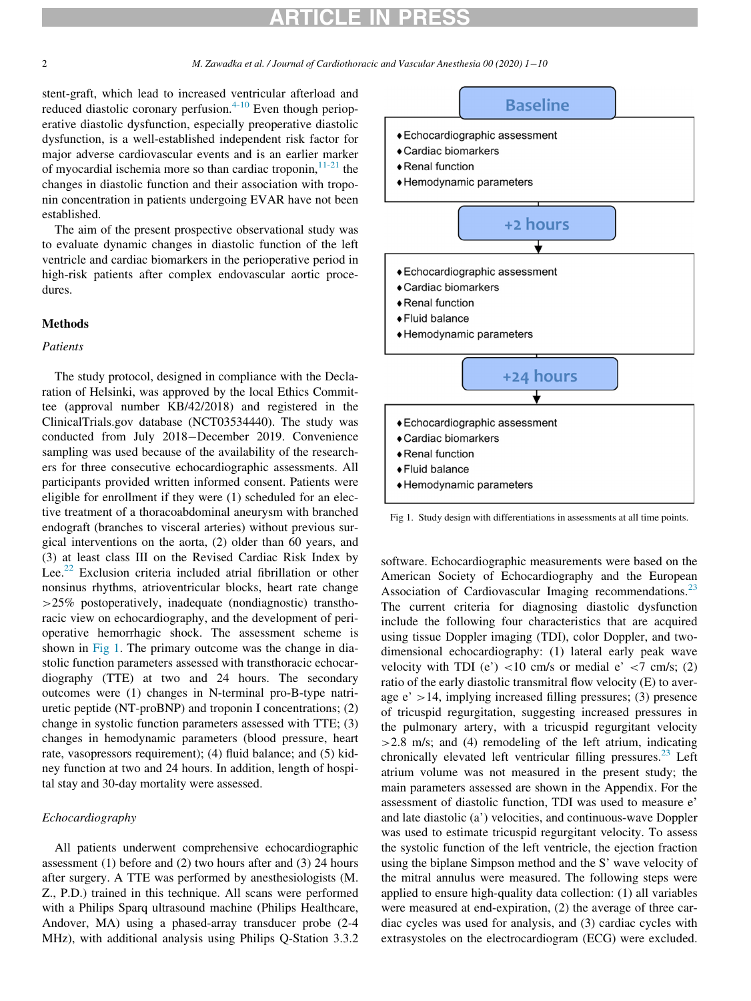<span id="page-1-0"></span>stent-graft, which lead to increased ventricular afterload and reduced diastolic coronary perfusion. $4-10$  Even though perioperative diastolic dysfunction, especially preoperative diastolic dysfunction, is a well-established independent risk factor for major adverse cardiovascular events and is an earlier marker of myocardial ischemia more so than cardiac troponin, $1^{1-21}$  the changes in diastolic function and their association with troponin concentration in patients undergoing EVAR have not been established.

The aim of the present prospective observational study was to evaluate dynamic changes in diastolic function of the left ventricle and cardiac biomarkers in the perioperative period in high-risk patients after complex endovascular aortic procedures.

#### Methods

### Patients

The study protocol, designed in compliance with the Declaration of Helsinki, was approved by the local Ethics Committee (approval number KB/42/2018) and registered in the ClinicalTrials.gov database (NCT03534440). The study was conducted from July 2018-December 2019. Convenience sampling was used because of the availability of the researchers for three consecutive echocardiographic assessments. All participants provided written informed consent. Patients were eligible for enrollment if they were (1) scheduled for an elective treatment of a thoracoabdominal aneurysm with branched endograft (branches to visceral arteries) without previous surgical interventions on the aorta, (2) older than 60 years, and (3) at least class III on the Revised Cardiac Risk Index by Lee.<sup>[22](#page-8-5)</sup> Exclusion criteria included atrial fibrillation or other nonsinus rhythms, atrioventricular blocks, heart rate change >25% postoperatively, inadequate (nondiagnostic) transthoracic view on echocardiography, and the development of perioperative hemorrhagic shock. The assessment scheme is shown in [Fig 1](#page-1-0). The primary outcome was the change in diastolic function parameters assessed with transthoracic echocardiography (TTE) at two and 24 hours. The secondary outcomes were (1) changes in N-terminal pro-B-type natriuretic peptide (NT-proBNP) and troponin I concentrations; (2) change in systolic function parameters assessed with TTE; (3) changes in hemodynamic parameters (blood pressure, heart rate, vasopressors requirement); (4) fluid balance; and (5) kidney function at two and 24 hours. In addition, length of hospital stay and 30-day mortality were assessed.

### Echocardiography

All patients underwent comprehensive echocardiographic assessment (1) before and (2) two hours after and (3) 24 hours after surgery. A TTE was performed by anesthesiologists (M. Z., P.D.) trained in this technique. All scans were performed with a Philips Sparq ultrasound machine (Philips Healthcare, Andover, MA) using a phased-array transducer probe (2-4 MHz), with additional analysis using Philips Q-Station 3.3.2

## **Baseline**

- ◆ Echocardiographic assessment
- ◆ Cardiac biomarkers
- ◆ Renal function
- ◆ Hemodynamic parameters



Fig 1. Study design with differentiations in assessments at all time points.

software. Echocardiographic measurements were based on the American Society of Echocardiography and the European Association of Cardiovascular Imaging recommendations.<sup>[23](#page-8-6)</sup> The current criteria for diagnosing diastolic dysfunction include the following four characteristics that are acquired using tissue Doppler imaging (TDI), color Doppler, and twodimensional echocardiography: (1) lateral early peak wave velocity with TDI (e')  $<$ 10 cm/s or medial e'  $<$ 7 cm/s; (2) ratio of the early diastolic transmitral flow velocity (E) to average  $e' > 14$ , implying increased filling pressures; (3) presence of tricuspid regurgitation, suggesting increased pressures in the pulmonary artery, with a tricuspid regurgitant velocity  $>2.8$  m/s; and (4) remodeling of the left atrium, indicating chronically elevated left ventricular filling pressures. $^{23}$  $^{23}$  $^{23}$  Left atrium volume was not measured in the present study; the main parameters assessed are shown in the Appendix. For the assessment of diastolic function, TDI was used to measure e' and late diastolic (a') velocities, and continuous-wave Doppler was used to estimate tricuspid regurgitant velocity. To assess the systolic function of the left ventricle, the ejection fraction using the biplane Simpson method and the S' wave velocity of the mitral annulus were measured. The following steps were applied to ensure high-quality data collection: (1) all variables were measured at end-expiration, (2) the average of three cardiac cycles was used for analysis, and (3) cardiac cycles with extrasystoles on the electrocardiogram (ECG) were excluded.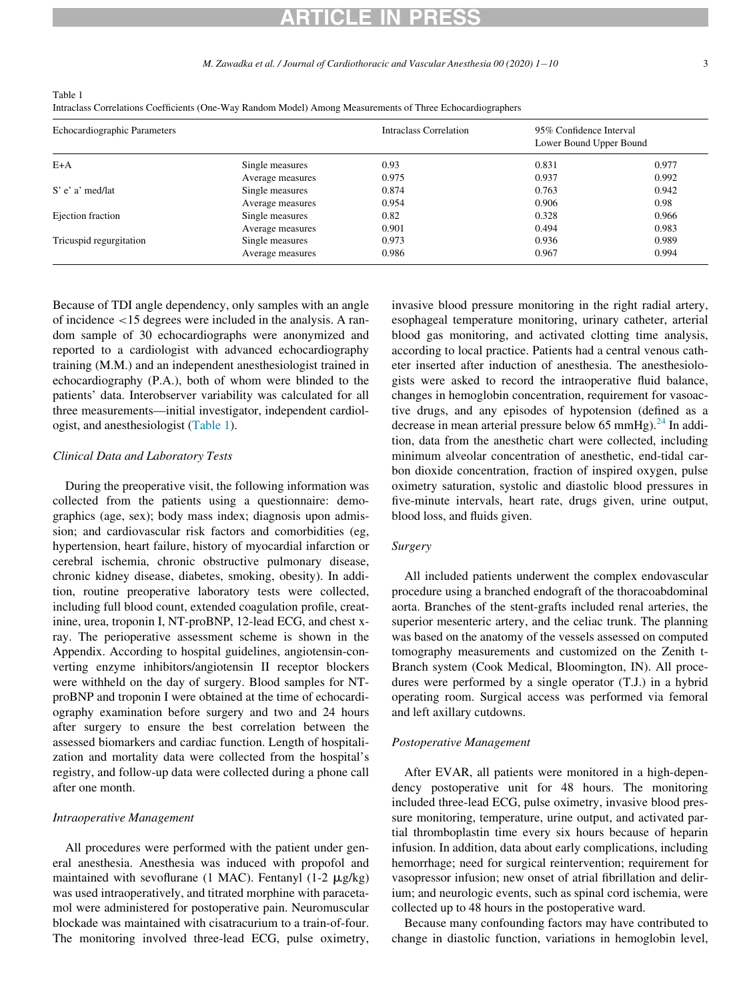M. Zawadka et al. / Journal of Cardiothoracic and Vascular Anesthesia 00 (2020)  $1-10$ 10 3

<span id="page-2-0"></span>Table 1

Intraclass Correlations Coefficients (One-Way Random Model) Among Measurements of Three Echocardiographers

| Echocardiographic Parameters |                  | Intraclass Correlation | 95% Confidence Interval<br>Lower Bound Upper Bound |       |
|------------------------------|------------------|------------------------|----------------------------------------------------|-------|
| $E+A$                        | Single measures  | 0.93                   | 0.831                                              | 0.977 |
|                              | Average measures | 0.975                  | 0.937                                              | 0.992 |
| S' e' a' med/lat             | Single measures  | 0.874                  | 0.763                                              | 0.942 |
|                              | Average measures | 0.954                  | 0.906                                              | 0.98  |
| Ejection fraction            | Single measures  | 0.82                   | 0.328                                              | 0.966 |
|                              | Average measures | 0.901                  | 0.494                                              | 0.983 |
| Tricuspid regurgitation      | Single measures  | 0.973                  | 0.936                                              | 0.989 |
|                              | Average measures | 0.986                  | 0.967                                              | 0.994 |

Because of TDI angle dependency, only samples with an angle of incidence <15 degrees were included in the analysis. A random sample of 30 echocardiographs were anonymized and reported to a cardiologist with advanced echocardiography training (M.M.) and an independent anesthesiologist trained in echocardiography (P.A.), both of whom were blinded to the patients' data. Interobserver variability was calculated for all three measurements—initial investigator, independent cardiologist, and anesthesiologist ([Table 1\)](#page-2-0).

#### Clinical Data and Laboratory Tests

During the preoperative visit, the following information was collected from the patients using a questionnaire: demographics (age, sex); body mass index; diagnosis upon admission; and cardiovascular risk factors and comorbidities (eg, hypertension, heart failure, history of myocardial infarction or cerebral ischemia, chronic obstructive pulmonary disease, chronic kidney disease, diabetes, smoking, obesity). In addition, routine preoperative laboratory tests were collected, including full blood count, extended coagulation profile, creatinine, urea, troponin I, NT-proBNP, 12-lead ECG, and chest xray. The perioperative assessment scheme is shown in the Appendix. According to hospital guidelines, angiotensin-converting enzyme inhibitors/angiotensin II receptor blockers were withheld on the day of surgery. Blood samples for NTproBNP and troponin I were obtained at the time of echocardiography examination before surgery and two and 24 hours after surgery to ensure the best correlation between the assessed biomarkers and cardiac function. Length of hospitalization and mortality data were collected from the hospital's registry, and follow-up data were collected during a phone call after one month.

#### Intraoperative Management

All procedures were performed with the patient under general anesthesia. Anesthesia was induced with propofol and maintained with sevoflurane (1 MAC). Fentanyl (1-2  $\mu$ g/kg) was used intraoperatively, and titrated morphine with paracetamol were administered for postoperative pain. Neuromuscular blockade was maintained with cisatracurium to a train-of-four. The monitoring involved three-lead ECG, pulse oximetry, invasive blood pressure monitoring in the right radial artery, esophageal temperature monitoring, urinary catheter, arterial blood gas monitoring, and activated clotting time analysis, according to local practice. Patients had a central venous catheter inserted after induction of anesthesia. The anesthesiologists were asked to record the intraoperative fluid balance, changes in hemoglobin concentration, requirement for vasoactive drugs, and any episodes of hypotension (defined as a decrease in mean arterial pressure below 65 mmHg).<sup>[24](#page-8-7)</sup> In addition, data from the anesthetic chart were collected, including minimum alveolar concentration of anesthetic, end-tidal carbon dioxide concentration, fraction of inspired oxygen, pulse oximetry saturation, systolic and diastolic blood pressures in five-minute intervals, heart rate, drugs given, urine output, blood loss, and fluids given.

#### Surgery

All included patients underwent the complex endovascular procedure using a branched endograft of the thoracoabdominal aorta. Branches of the stent-grafts included renal arteries, the superior mesenteric artery, and the celiac trunk. The planning was based on the anatomy of the vessels assessed on computed tomography measurements and customized on the Zenith t-Branch system (Cook Medical, Bloomington, IN). All procedures were performed by a single operator (T.J.) in a hybrid operating room. Surgical access was performed via femoral and left axillary cutdowns.

#### Postoperative Management

After EVAR, all patients were monitored in a high-dependency postoperative unit for 48 hours. The monitoring included three-lead ECG, pulse oximetry, invasive blood pressure monitoring, temperature, urine output, and activated partial thromboplastin time every six hours because of heparin infusion. In addition, data about early complications, including hemorrhage; need for surgical reintervention; requirement for vasopressor infusion; new onset of atrial fibrillation and delirium; and neurologic events, such as spinal cord ischemia, were collected up to 48 hours in the postoperative ward.

Because many confounding factors may have contributed to change in diastolic function, variations in hemoglobin level,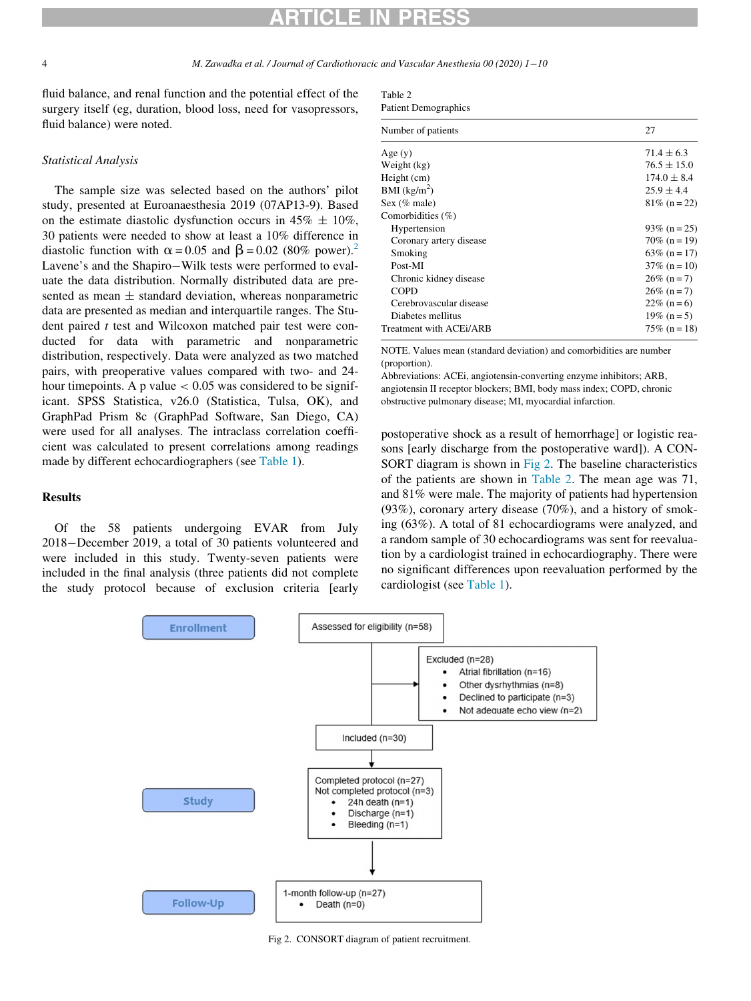4 M. Zawadka et al. / Journal of Cardiothoracic and Vascular Anesthesia 00 (2020) 1-10

<span id="page-3-1"></span>fluid balance, and renal function and the potential effect of the surgery itself (eg, duration, blood loss, need for vasopressors, fluid balance) were noted.

#### Statistical Analysis

The sample size was selected based on the authors' pilot study, presented at Euroanaesthesia 2019 (07AP13-9). Based on the estimate diastolic dysfunction occurs in  $45\% \pm 10\%$ , 30 patients were needed to show at least a 10% difference in diastolic function with  $\alpha$  = 0.05 and  $\beta$  = 0.0[2](#page-8-1) (80% power).<sup>2</sup> Lavene's and the Shapiro-Wilk tests were performed to evaluate the data distribution. Normally distributed data are presented as mean  $\pm$  standard deviation, whereas nonparametric data are presented as median and interquartile ranges. The Student paired  $t$  test and Wilcoxon matched pair test were conducted for data with parametric and nonparametric distribution, respectively. Data were analyzed as two matched pairs, with preoperative values compared with two- and 24 hour timepoints. A p value  $< 0.05$  was considered to be significant. SPSS Statistica, v26.0 (Statistica, Tulsa, OK), and GraphPad Prism 8c (GraphPad Software, San Diego, CA) were used for all analyses. The intraclass correlation coefficient was calculated to present correlations among readings made by different echocardiographers (see [Table 1\)](#page-2-0).

### Results

<span id="page-3-0"></span>Of the 58 patients undergoing EVAR from July 2018-December 2019, a total of 30 patients volunteered and were included in this study. Twenty-seven patients were included in the final analysis (three patients did not complete the study protocol because of exclusion criteria [early

| Table 2                     |
|-----------------------------|
| <b>Patient Demographics</b> |

| Number of patients      | 27              |
|-------------------------|-----------------|
| Age $(y)$               | $71.4 \pm 6.3$  |
| Weight (kg)             | $76.5 \pm 15.0$ |
| Height (cm)             | $174.0 \pm 8.4$ |
| BMI $(kg/m2)$           | $25.9 \pm 4.4$  |
| Sex (% male)            | $81\%$ (n = 22) |
| Comorbidities $(\% )$   |                 |
| Hypertension            | $93\%$ (n = 25) |
| Coronary artery disease | $70\%$ (n = 19) |
| Smoking                 | $63\%$ (n = 17) |
| Post-MI                 | $37\%$ (n = 10) |
| Chronic kidney disease  | $26\%$ (n = 7)  |
| <b>COPD</b>             | $26\%$ (n = 7)  |
| Cerebrovascular disease | $22\%$ (n = 6)  |
| Diabetes mellitus       | $19\%$ (n = 5)  |
| Treatment with ACEi/ARB | $75\%$ (n = 18) |

NOTE. Values mean (standard deviation) and comorbidities are number (proportion).

Abbreviations: ACEi, angiotensin-converting enzyme inhibitors; ARB, angiotensin II receptor blockers; BMI, body mass index; COPD, chronic obstructive pulmonary disease; MI, myocardial infarction.

postoperative shock as a result of hemorrhage] or logistic reasons [early discharge from the postoperative ward]). A CON-SORT diagram is shown in [Fig 2.](#page-3-0) The baseline characteristics of the patients are shown in [Table 2](#page-3-1). The mean age was 71, and 81% were male. The majority of patients had hypertension (93%), coronary artery disease (70%), and a history of smoking (63%). A total of 81 echocardiograms were analyzed, and a random sample of 30 echocardiograms was sent for reevaluation by a cardiologist trained in echocardiography. There were no significant differences upon reevaluation performed by the cardiologist (see [Table 1\)](#page-2-0).



Fig 2. CONSORT diagram of patient recruitment.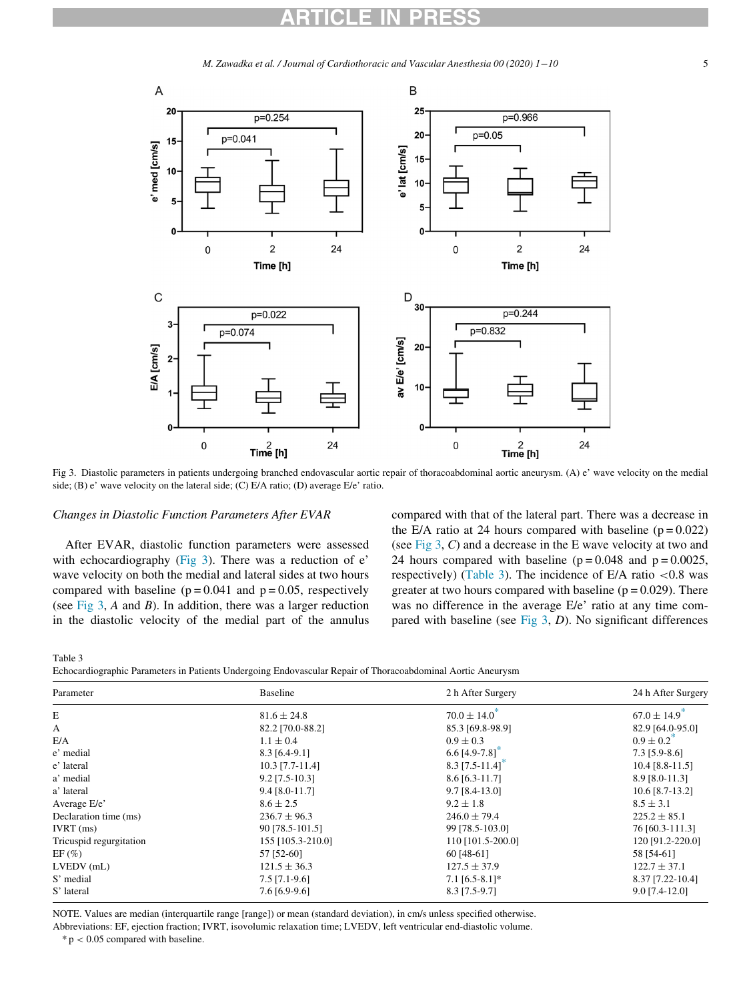M. Zawadka et al. / Journal of Cardiothoracic and Vascular Anesthesia 00 (2020)  $1-10$ 10 5

<span id="page-4-0"></span>

Fig 3. Diastolic parameters in patients undergoing branched endovascular aortic repair of thoracoabdominal aortic aneurysm. (A) e' wave velocity on the medial side; (B) e' wave velocity on the lateral side; (C) E/A ratio; (D) average E/e' ratio.

#### Changes in Diastolic Function Parameters After EVAR

After EVAR, diastolic function parameters were assessed with echocardiography ([Fig 3](#page-4-0)). There was a reduction of e' wave velocity on both the medial and lateral sides at two hours compared with baseline  $(p = 0.041$  and  $p = 0.05$ , respectively (see [Fig 3](#page-4-0), A and B). In addition, there was a larger reduction in the diastolic velocity of the medial part of the annulus compared with that of the lateral part. There was a decrease in the E/A ratio at 24 hours compared with baseline  $(p = 0.022)$ (see Fig  $3, C$ ) and a decrease in the E wave velocity at two and 24 hours compared with baseline ( $p = 0.048$  and  $p = 0.0025$ , respectively) [\(Table 3](#page-4-1)). The incidence of E/A ratio  $\lt 0.8$  was greater at two hours compared with baseline  $(p = 0.029)$ . There was no difference in the average E/e' ratio at any time compared with baseline (see Fig  $3$ ,  $D$ ). No significant differences

<span id="page-4-1"></span>Table 3 Echocardiographic Parameters in Patients Undergoing Endovascular Repair of Thoracoabdominal Aortic Aneurysm

| Parameter               | Baseline          | 2 h After Surgery | 24 h After Surgery           |
|-------------------------|-------------------|-------------------|------------------------------|
| E                       | $81.6 \pm 24.8$   | $70.0 \pm 14.0^*$ | $67.0 \pm 14.9$ <sup>*</sup> |
| A                       | 82.2 [70.0-88.2]  | 85.3 [69.8-98.9]  | 82.9 [64.0-95.0]             |
| E/A                     | $1.1 \pm 0.4$     | $0.9 \pm 0.3$     | $0.9 \pm 0.2^{\circ}$        |
| e' medial               | $8.3$ [6.4-9.1]   | $6.6$ [4.9-7.8]   | $7.3$ [5.9-8.6]              |
| e' lateral              | 10.3 [7.7-11.4]   | $8.3$ [7.5-11.4]  | $10.4$ [8.8-11.5]            |
| a' medial               | $9.2$ [7.5-10.3]  | $8.6$ [6.3-11.7]  | 8.9 [8.0-11.3]               |
| a' lateral              | $9.4$ [8.0-11.7]  | $9.7$ [8.4-13.0]  | 10.6 [8.7-13.2]              |
| Average E/e'            | $8.6 \pm 2.5$     | $9.2 \pm 1.8$     | $8.5 \pm 3.1$                |
| Declaration time (ms)   | $236.7 \pm 96.3$  | $246.0 \pm 79.4$  | $225.2 \pm 85.1$             |
| $IVRT$ (ms)             | 90 [78.5-101.5]   | 99 [78.5-103.0]   | 76 [60.3-111.3]              |
| Tricuspid regurgitation | 155 [105.3-210.0] | 110 [101.5-200.0] | 120 [91.2-220.0]             |
| $EF(\%)$                | 57 [52-60]        | 60 [48-61]        | 58 [54-61]                   |
| $LVEDV$ (mL)            | $121.5 \pm 36.3$  | $127.5 \pm 37.9$  | $122.7 \pm 37.1$             |
| S' medial               | $7.5$ [7.1-9.6]   | $7.1$ [6.5-8.1]*  | 8.37 [7.22-10.4]             |
| S' lateral              | 7.6 [6.9-9.6]     | 8.3 [7.5-9.7]     | $9.0$ [7.4-12.0]             |

NOTE. Values are median (interquartile range [range]) or mean (standard deviation), in cm/s unless specified otherwise.

<span id="page-4-2"></span>Abbreviations: EF, ejection fraction; IVRT, isovolumic relaxation time; LVEDV, left ventricular end-diastolic volume.

 $* p < 0.05$  compared with baseline.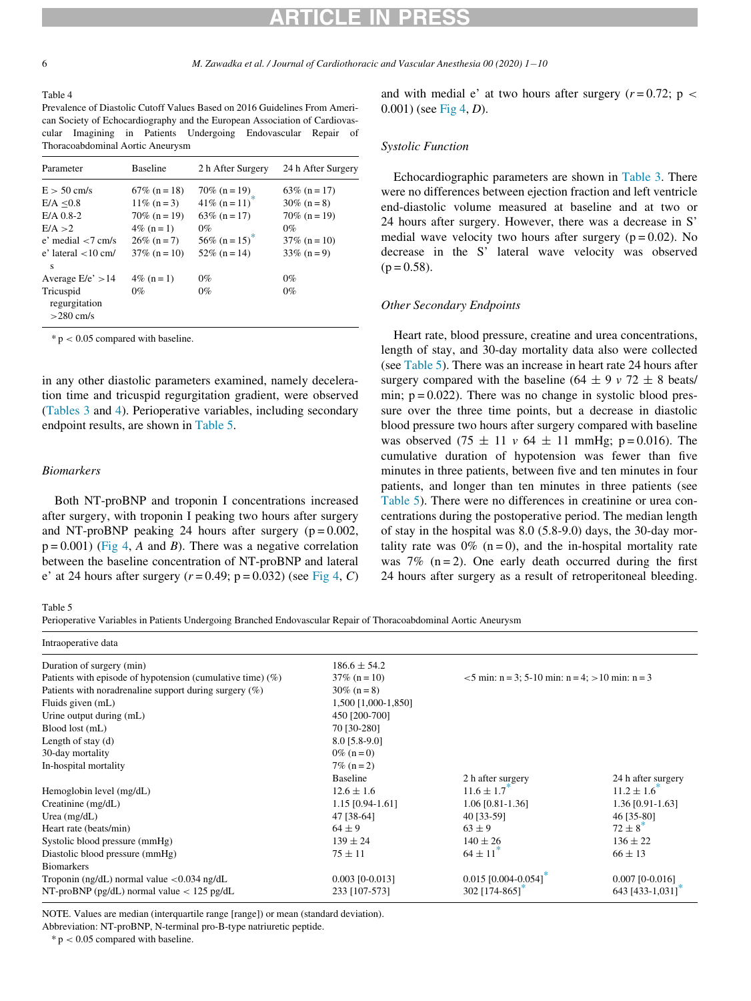6 M. Zawadka et al. / Journal of Cardiothoracic and Vascular Anesthesia 00 (2020) 1-10

#### <span id="page-5-0"></span>Table 4

Prevalence of Diastolic Cutoff Values Based on 2016 Guidelines From American Society of Echocardiography and the European Association of Cardiovascular Imagining in Patients Undergoing Endovascular Repair of Thoracoabdominal Aortic Aneurysm

| Parameter                  | <b>Baseline</b> | 2 h After Surgery          | 24 h After Surgery |
|----------------------------|-----------------|----------------------------|--------------------|
| $E > 50$ cm/s              | $67\%$ (n = 18) | $70\%$ (n = 19)            | $63\%$ (n = 17)    |
| E/A < 0.8                  | $11\%$ (n = 3)  | 41\% $(n = 11)$            | $30\%$ (n = 8)     |
| $E/A$ 0.8-2                | $70\%$ (n = 19) | $63\%$ (n = 17)            | $70\%$ (n = 19)    |
| E/A > 2                    | $4\%$ (n = 1)   | $0\%$                      | $0\%$              |
| $e'$ medial $<$ 7 cm/s     | $26\%$ (n = 7)  | 56\% (n = 15) <sup>*</sup> | $37\%$ (n = 10)    |
| $e'$ lateral $\lt$ 10 cm/  | $37\%$ (n = 10) | $52\%$ (n = 14)            | $33\%$ (n = 9)     |
| s                          |                 |                            |                    |
| Average $E/e' > 14$        | $4\%$ (n = 1)   | $0\%$                      | $0\%$              |
| Tricuspid<br>regurgitation | $0\%$           | $0\%$                      | $0\%$              |
| $>280$ cm/s                |                 |                            |                    |

<span id="page-5-2"></span> $* p < 0.05$  compared with baseline.

in any other diastolic parameters examined, namely deceleration time and tricuspid regurgitation gradient, were observed ([Tables 3](#page-4-1) and [4\)](#page-5-0). Perioperative variables, including secondary endpoint results, are shown in [Table 5](#page-5-1).

#### Biomarkers

Both NT-proBNP and troponin I concentrations increased after surgery, with troponin I peaking two hours after surgery and NT-proBNP peaking 24 hours after surgery  $(p = 0.002,$  $p = 0.001$ ) [\(Fig 4,](#page-6-0) A and B). There was a negative correlation between the baseline concentration of NT-proBNP and lateral e' at 24 hours after surgery  $(r = 0.49; p = 0.032)$  (see [Fig 4](#page-6-0), C) and with medial e' at two hours after surgery ( $r = 0.72$ ; p < 0.001) (see [Fig 4,](#page-6-0) D).

#### Systolic Function

Echocardiographic parameters are shown in [Table 3](#page-4-1). There were no differences between ejection fraction and left ventricle end-diastolic volume measured at baseline and at two or 24 hours after surgery. However, there was a decrease in S' medial wave velocity two hours after surgery  $(p = 0.02)$ . No decrease in the S' lateral wave velocity was observed  $(p = 0.58)$ .

#### Other Secondary Endpoints

Heart rate, blood pressure, creatine and urea concentrations, length of stay, and 30-day mortality data also were collected (see [Table 5\)](#page-5-1). There was an increase in heart rate 24 hours after surgery compared with the baseline (64  $\pm$  9 v 72  $\pm$  8 beats/ min;  $p = 0.022$ ). There was no change in systolic blood pressure over the three time points, but a decrease in diastolic blood pressure two hours after surgery compared with baseline was observed (75  $\pm$  11 v 64  $\pm$  11 mmHg; p = 0.016). The cumulative duration of hypotension was fewer than five minutes in three patients, between five and ten minutes in four patients, and longer than ten minutes in three patients (see [Table 5](#page-5-1)). There were no differences in creatinine or urea concentrations during the postoperative period. The median length of stay in the hospital was 8.0 (5.8-9.0) days, the 30-day mortality rate was  $0\%$  (n = 0), and the in-hospital mortality rate was  $7\%$  (n = 2). One early death occurred during the first 24 hours after surgery as a result of retroperitoneal bleeding.

#### <span id="page-5-1"></span>Table 5

Perioperative Variables in Patients Undergoing Branched Endovascular Repair of Thoracoabdominal Aortic Aneurysm

| Intraoperative data                                           |                     |                                                    |                             |
|---------------------------------------------------------------|---------------------|----------------------------------------------------|-----------------------------|
| Duration of surgery (min)                                     | $186.6 \pm 54.2$    |                                                    |                             |
| Patients with episode of hypotension (cumulative time) $(\%)$ | $37\%$ (n = 10)     | $<$ 5 min: n = 3; 5-10 min: n = 4; > 10 min: n = 3 |                             |
| Patients with noradrenaline support during surgery $(\%)$     | $30\%$ (n = 8)      |                                                    |                             |
| Fluids given (mL)                                             | 1,500 [1,000-1,850] |                                                    |                             |
| Urine output during (mL)                                      | 450 [200-700]       |                                                    |                             |
| Blood lost (mL)                                               | 70 [30-280]         |                                                    |                             |
| Length of stay $(d)$                                          | 8.0 [5.8-9.0]       |                                                    |                             |
| 30-day mortality                                              | $0\%$ (n = 0)       |                                                    |                             |
| In-hospital mortality                                         | $7\%$ (n = 2)       |                                                    |                             |
|                                                               | Baseline            | 2 h after surgery                                  | 24 h after surgery          |
| Hemoglobin level (mg/dL)                                      | $12.6 \pm 1.6$      | $11.6 \pm 1.7$                                     | $11.2 \pm 1.6$ <sup>*</sup> |
| Creatinine (mg/dL)                                            | 1.15 [0.94-1.61]    | 1.06 [0.81-1.36]                                   | 1.36 [0.91-1.63]            |
| Urea $(mg/dL)$                                                | 47 [38-64]          | 40 [33-59]                                         | 46 [35-80]                  |
| Heart rate (beats/min)                                        | $64 \pm 9$          | $63 \pm 9$                                         | $72 \pm 8$ <sup>*</sup>     |
| Systolic blood pressure (mmHg)                                | $139 \pm 24$        | $140 \pm 26$                                       | $136 \pm 22$                |
| Diastolic blood pressure (mmHg)                               | $75 \pm 11$         | $64 \pm 11^{7}$                                    | $66 \pm 13$                 |
| <b>Biomarkers</b>                                             |                     |                                                    |                             |
| Troponin (ng/dL) normal value $< 0.034$ ng/dL                 | $0.003$ [0-0.013]   | $0.015$ [0.004-0.054]                              | $0.007$ [0-0.016]           |
| NT-proBNP (pg/dL) normal value $< 125$ pg/dL                  | 233 [107-573]       | 302 [174-865]                                      | 643 [433-1,031]             |

NOTE. Values are median (interquartile range [range]) or mean (standard deviation).

<span id="page-5-3"></span>Abbreviation: NT-proBNP, N-terminal pro-B-type natriuretic peptide.

 $* p < 0.05$  compared with baseline.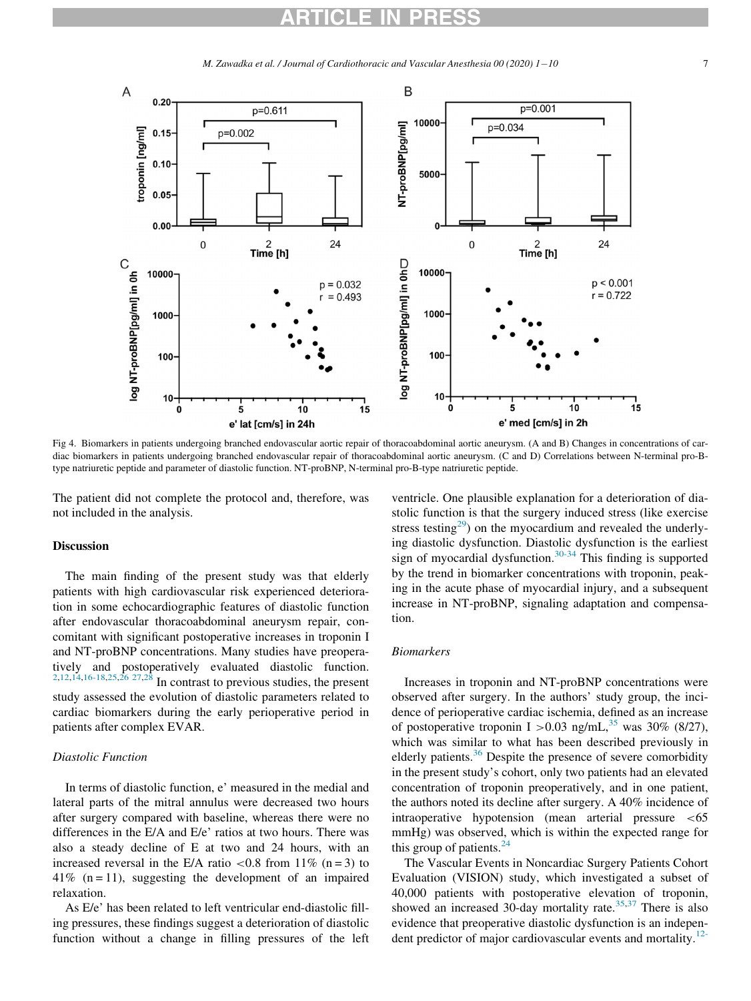M. Zawadka et al. / Journal of Cardiothoracic and Vascular Anesthesia 00 (2020)  $1-10$ 10 7

<span id="page-6-0"></span>

Fig 4. Biomarkers in patients undergoing branched endovascular aortic repair of thoracoabdominal aortic aneurysm. (A and B) Changes in concentrations of cardiac biomarkers in patients undergoing branched endovascular repair of thoracoabdominal aortic aneurysm. (C and D) Correlations between N-terminal pro-Btype natriuretic peptide and parameter of diastolic function. NT-proBNP, N-terminal pro-B-type natriuretic peptide.

The patient did not complete the protocol and, therefore, was not included in the analysis.

#### Discussion

The main finding of the present study was that elderly patients with high cardiovascular risk experienced deterioration in some echocardiographic features of diastolic function after endovascular thoracoabdominal aneurysm repair, concomitant with significant postoperative increases in troponin I and NT-proBNP concentrations. Many studies have preoperatively and postoperatively evaluated diastolic function.  $2,12,14,16-18,25,26$  $2,12,14,16-18,25,26$  $2,12,14,16-18,25,26$  $2,12,14,16-18,25,26$  $2,12,14,16-18,25,26$  $2,12,14,16-18,25,26$   $27,28$  $27,28$  In contrast to previous studies, the present study assessed the evolution of diastolic parameters related to cardiac biomarkers during the early perioperative period in patients after complex EVAR.

### Diastolic Function

In terms of diastolic function, e' measured in the medial and lateral parts of the mitral annulus were decreased two hours after surgery compared with baseline, whereas there were no differences in the E/A and E/e' ratios at two hours. There was also a steady decline of E at two and 24 hours, with an increased reversal in the E/A ratio  $\lt 0.8$  from 11% (n = 3) to  $41\%$  (n = 11), suggesting the development of an impaired relaxation.

As E/e' has been related to left ventricular end-diastolic filling pressures, these findings suggest a deterioration of diastolic function without a change in filling pressures of the left

ventricle. One plausible explanation for a deterioration of diastolic function is that the surgery induced stress (like exercise stress testing<sup>[29](#page-9-4)</sup>) on the myocardium and revealed the underlying diastolic dysfunction. Diastolic dysfunction is the earliest sign of myocardial dysfunction. $30-34$  This finding is supported by the trend in biomarker concentrations with troponin, peaking in the acute phase of myocardial injury, and a subsequent increase in NT-proBNP, signaling adaptation and compensation.

#### Biomarkers

Increases in troponin and NT-proBNP concentrations were observed after surgery. In the authors' study group, the incidence of perioperative cardiac ischemia, defined as an increase of postoperative troponin I > 0.03 ng/mL,<sup>[35](#page-9-6)</sup> was 30% (8/27), which was similar to what has been described previously in elderly patients. $36$  Despite the presence of severe comorbidity in the present study's cohort, only two patients had an elevated concentration of troponin preoperatively, and in one patient, the authors noted its decline after surgery. A 40% incidence of intraoperative hypotension (mean arterial pressure <65 mmHg) was observed, which is within the expected range for this group of patients.<sup>[24](#page-8-7)</sup>

The Vascular Events in Noncardiac Surgery Patients Cohort Evaluation (VISION) study, which investigated a subset of 40,000 patients with postoperative elevation of troponin, showed an increased 30-day mortality rate. $35,37$  $35,37$  There is also evidence that preoperative diastolic dysfunction is an independent predictor of major cardiovascular events and mortality. $12$ -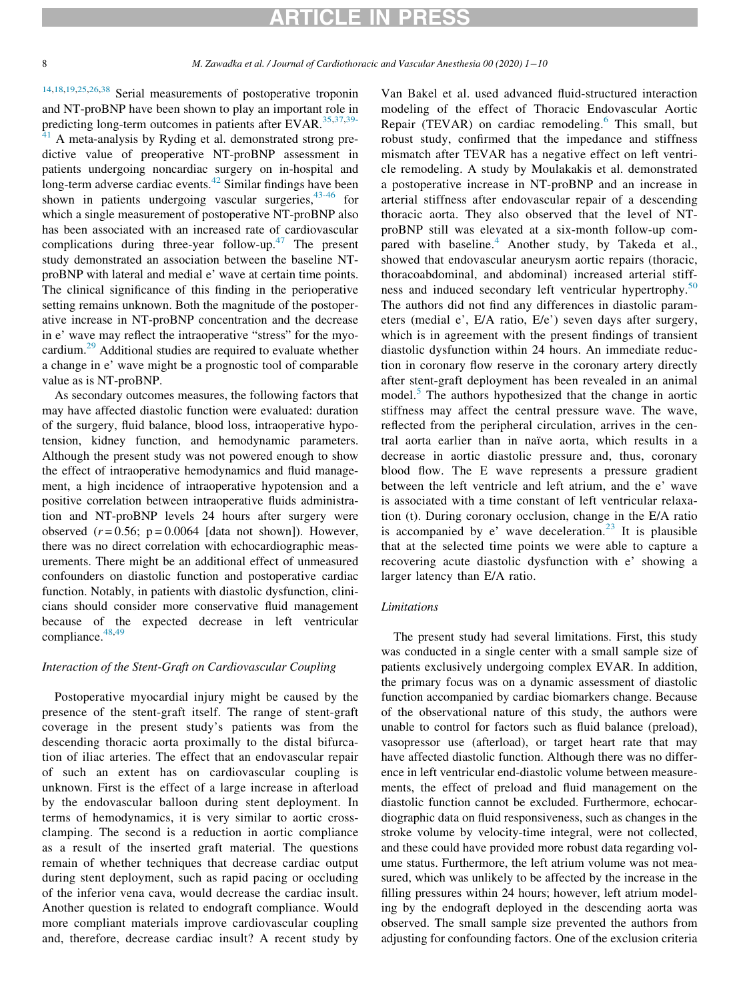## ICI E IN PRE

8 M. Zawadka et al. / Journal of Cardiothoracic and Vascular Anesthesia 00 (2020) 1-10

[14,](#page-8-8)[18](#page-8-11)[,19,](#page-8-12)[25,](#page-9-0)[26](#page-9-1)[,38](#page-9-9) Serial measurements of postoperative troponin and NT-proBNP have been shown to play an important role in predicting long-term outcomes in patients after EVAR.<sup>[35](#page-9-6)[,37](#page-9-8)[,39-](#page-9-10)</sup>

 $41$  A meta-analysis by Ryding et al. demonstrated strong predictive value of preoperative NT-proBNP assessment in patients undergoing noncardiac surgery on in-hospital and long-term adverse cardiac events. $42$  Similar findings have been shown in patients undergoing vascular surgeries,  $43-46$  for which a single measurement of postoperative NT-proBNP also has been associated with an increased rate of cardiovascular complications during three-year follow-up.<sup> $47$ </sup> The present study demonstrated an association between the baseline NTproBNP with lateral and medial e' wave at certain time points. The clinical significance of this finding in the perioperative setting remains unknown. Both the magnitude of the postoperative increase in NT-proBNP concentration and the decrease in e' wave may reflect the intraoperative "stress" for the myocardium.[29](#page-9-4) Additional studies are required to evaluate whether a change in e' wave might be a prognostic tool of comparable value as is NT-proBNP.

As secondary outcomes measures, the following factors that may have affected diastolic function were evaluated: duration of the surgery, fluid balance, blood loss, intraoperative hypotension, kidney function, and hemodynamic parameters. Although the present study was not powered enough to show the effect of intraoperative hemodynamics and fluid management, a high incidence of intraoperative hypotension and a positive correlation between intraoperative fluids administration and NT-proBNP levels 24 hours after surgery were observed  $(r = 0.56; p = 0.0064$  [data not shown]). However, there was no direct correlation with echocardiographic measurements. There might be an additional effect of unmeasured confounders on diastolic function and postoperative cardiac function. Notably, in patients with diastolic dysfunction, clinicians should consider more conservative fluid management because of the expected decrease in left ventricular compliance.  $48,49$  $48,49$ 

### Interaction of the Stent-Graft on Cardiovascular Coupling

Postoperative myocardial injury might be caused by the presence of the stent-graft itself. The range of stent-graft coverage in the present study's patients was from the descending thoracic aorta proximally to the distal bifurcation of iliac arteries. The effect that an endovascular repair of such an extent has on cardiovascular coupling is unknown. First is the effect of a large increase in afterload by the endovascular balloon during stent deployment. In terms of hemodynamics, it is very similar to aortic crossclamping. The second is a reduction in aortic compliance as a result of the inserted graft material. The questions remain of whether techniques that decrease cardiac output during stent deployment, such as rapid pacing or occluding of the inferior vena cava, would decrease the cardiac insult. Another question is related to endograft compliance. Would more compliant materials improve cardiovascular coupling and, therefore, decrease cardiac insult? A recent study by Van Bakel et al. used advanced fluid-structured interaction modeling of the effect of Thoracic Endovascular Aortic Repair (TEVAR) on cardiac remodeling.<sup>[6](#page-8-13)</sup> This small, but robust study, confirmed that the impedance and stiffness mismatch after TEVAR has a negative effect on left ventricle remodeling. A study by Moulakakis et al. demonstrated a postoperative increase in NT-proBNP and an increase in arterial stiffness after endovascular repair of a descending thoracic aorta. They also observed that the level of NTproBNP still was elevated at a six-month follow-up com-pared with baseline.<sup>[4](#page-8-3)</sup> Another study, by Takeda et al., showed that endovascular aneurysm aortic repairs (thoracic, thoracoabdominal, and abdominal) increased arterial stiff-ness and induced secondary left ventricular hypertrophy.<sup>[50](#page-9-16)</sup> The authors did not find any differences in diastolic parameters (medial e', E/A ratio, E/e') seven days after surgery, which is in agreement with the present findings of transient diastolic dysfunction within 24 hours. An immediate reduction in coronary flow reserve in the coronary artery directly after stent-graft deployment has been revealed in an animal model.<sup>[5](#page-8-14)</sup> The authors hypothesized that the change in aortic stiffness may affect the central pressure wave. The wave, reflected from the peripheral circulation, arrives in the central aorta earlier than in naïve aorta, which results in a decrease in aortic diastolic pressure and, thus, coronary blood flow. The E wave represents a pressure gradient between the left ventricle and left atrium, and the e' wave is associated with a time constant of left ventricular relaxation (t). During coronary occlusion, change in the E/A ratio is accompanied by e' wave deceleration.<sup>[23](#page-8-6)</sup> It is plausible that at the selected time points we were able to capture a recovering acute diastolic dysfunction with e' showing a larger latency than E/A ratio.

### **Limitations**

The present study had several limitations. First, this study was conducted in a single center with a small sample size of patients exclusively undergoing complex EVAR. In addition, the primary focus was on a dynamic assessment of diastolic function accompanied by cardiac biomarkers change. Because of the observational nature of this study, the authors were unable to control for factors such as fluid balance (preload), vasopressor use (afterload), or target heart rate that may have affected diastolic function. Although there was no difference in left ventricular end-diastolic volume between measurements, the effect of preload and fluid management on the diastolic function cannot be excluded. Furthermore, echocardiographic data on fluid responsiveness, such as changes in the stroke volume by velocity-time integral, were not collected, and these could have provided more robust data regarding volume status. Furthermore, the left atrium volume was not measured, which was unlikely to be affected by the increase in the filling pressures within 24 hours; however, left atrium modeling by the endograft deployed in the descending aorta was observed. The small sample size prevented the authors from adjusting for confounding factors. One of the exclusion criteria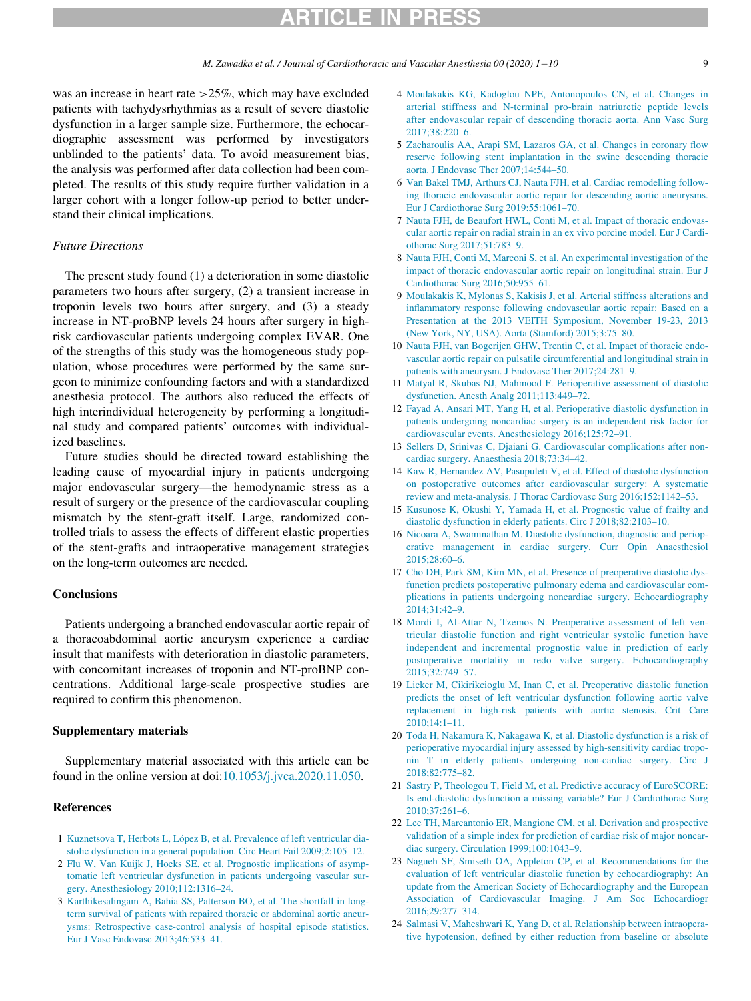M. Zawadka et al. / Journal of Cardiothoracic and Vascular Anesthesia 00 (2020)  $1-10$ 10 9

<span id="page-8-14"></span><span id="page-8-3"></span>was an increase in heart rate >25%, which may have excluded patients with tachydysrhythmias as a result of severe diastolic dysfunction in a larger sample size. Furthermore, the echocardiographic assessment was performed by investigators unblinded to the patients' data. To avoid measurement bias, the analysis was performed after data collection had been completed. The results of this study require further validation in a larger cohort with a longer follow-up period to better understand their clinical implications.

### <span id="page-8-13"></span>Future Directions

The present study found (1) a deterioration in some diastolic parameters two hours after surgery, (2) a transient increase in troponin levels two hours after surgery, and (3) a steady increase in NT-proBNP levels 24 hours after surgery in highrisk cardiovascular patients undergoing complex EVAR. One of the strengths of this study was the homogeneous study population, whose procedures were performed by the same surgeon to minimize confounding factors and with a standardized anesthesia protocol. The authors also reduced the effects of high interindividual heterogeneity by performing a longitudinal study and compared patients' outcomes with individualized baselines.

<span id="page-8-9"></span><span id="page-8-8"></span><span id="page-8-4"></span>Future studies should be directed toward establishing the leading cause of myocardial injury in patients undergoing major endovascular surgery—the hemodynamic stress as a result of surgery or the presence of the cardiovascular coupling mismatch by the stent-graft itself. Large, randomized controlled trials to assess the effects of different elastic properties of the stent-grafts and intraoperative management strategies on the long-term outcomes are needed.

#### <span id="page-8-10"></span>**Conclusions**

<span id="page-8-11"></span>Patients undergoing a branched endovascular aortic repair of a thoracoabdominal aortic aneurysm experience a cardiac insult that manifests with deterioration in diastolic parameters, with concomitant increases of troponin and NT-proBNP concentrations. Additional large-scale prospective studies are required to confirm this phenomenon.

### <span id="page-8-12"></span>Supplementary materials

Supplementary material associated with this article can be found in the online version at doi:[10.1053/j.jvca.2020.11.050](https://doi.org/10.1053/j.jvca.2020.11.050).

### <span id="page-8-5"></span>References

- <span id="page-8-0"></span>1 [Kuznetsova T, Herbots L, L](http://refhub.elsevier.com/S1053-0770(20)31285-4/sbref0001)[opez B, et al. Prevalence of left ventricular dia](http://refhub.elsevier.com/S1053-0770(20)31285-4/sbref0001)[stolic dysfunction in a general population. Circ Heart Fail 2009;2:105–12.](http://refhub.elsevier.com/S1053-0770(20)31285-4/sbref0001)
- <span id="page-8-6"></span><span id="page-8-1"></span>2 [Flu W, Van Kuijk J, Hoeks SE, et al. Prognostic implications of asymp](http://refhub.elsevier.com/S1053-0770(20)31285-4/sbref0002)[tomatic left ventricular dysfunction in patients undergoing vascular sur](http://refhub.elsevier.com/S1053-0770(20)31285-4/sbref0002)[gery. Anesthesiology 2010;112:1316–24.](http://refhub.elsevier.com/S1053-0770(20)31285-4/sbref0002)
- <span id="page-8-7"></span><span id="page-8-2"></span>3 [Karthikesalingam A, Bahia SS, Patterson BO, et al. The shortfall in long](http://refhub.elsevier.com/S1053-0770(20)31285-4/sbref0003)[term survival of patients with repaired thoracic or abdominal aortic aneur](http://refhub.elsevier.com/S1053-0770(20)31285-4/sbref0003)[ysms: Retrospective case-control analysis of hospital episode statistics.](http://refhub.elsevier.com/S1053-0770(20)31285-4/sbref0003) [Eur J Vasc Endovasc 2013;46:533–41.](http://refhub.elsevier.com/S1053-0770(20)31285-4/sbref0003)
- 4 [Moulakakis KG, Kadoglou NPE, Antonopoulos CN, et al. Changes in](http://refhub.elsevier.com/S1053-0770(20)31285-4/sbref0004) [arterial stiffness and N-terminal pro-brain natriuretic peptide levels](http://refhub.elsevier.com/S1053-0770(20)31285-4/sbref0004) [after endovascular repair of descending thoracic aorta. Ann Vasc Surg](http://refhub.elsevier.com/S1053-0770(20)31285-4/sbref0004) [2017;38:220–6.](http://refhub.elsevier.com/S1053-0770(20)31285-4/sbref0004)
- 5 [Zacharoulis AA, Arapi SM, Lazaros GA, et al. Changes in coronary flow](http://refhub.elsevier.com/S1053-0770(20)31285-4/sbref0005) [reserve following stent implantation in the swine descending thoracic](http://refhub.elsevier.com/S1053-0770(20)31285-4/sbref0005) [aorta. J Endovasc Ther 2007;14:544–50.](http://refhub.elsevier.com/S1053-0770(20)31285-4/sbref0005)
- 6 [Van Bakel TMJ, Arthurs CJ, Nauta FJH, et al. Cardiac remodelling follow](http://refhub.elsevier.com/S1053-0770(20)31285-4/sbref0006)[ing thoracic endovascular aortic repair for descending aortic aneurysms.](http://refhub.elsevier.com/S1053-0770(20)31285-4/sbref0006) [Eur J Cardiothorac Surg 2019;55:1061–70.](http://refhub.elsevier.com/S1053-0770(20)31285-4/sbref0006)
- 7 [Nauta FJH, de Beaufort HWL, Conti M, et al. Impact of thoracic endovas](http://refhub.elsevier.com/S1053-0770(20)31285-4/sbref0007)[cular aortic repair on radial strain in an ex vivo porcine model. Eur J Cardi](http://refhub.elsevier.com/S1053-0770(20)31285-4/sbref0007)[othorac Surg 2017;51:783–9.](http://refhub.elsevier.com/S1053-0770(20)31285-4/sbref0007)
- 8 [Nauta FJH, Conti M, Marconi S, et al. An experimental investigation of the](http://refhub.elsevier.com/S1053-0770(20)31285-4/sbref0008) [impact of thoracic endovascular aortic repair on longitudinal strain. Eur J](http://refhub.elsevier.com/S1053-0770(20)31285-4/sbref0008) [Cardiothorac Surg 2016;50:955–61.](http://refhub.elsevier.com/S1053-0770(20)31285-4/sbref0008)
- 9 [Moulakakis K, Mylonas S, Kakisis J, et al. Arterial stiffness alterations and](http://refhub.elsevier.com/S1053-0770(20)31285-4/sbref0009) [inflammatory response following endovascular aortic repair: Based on a](http://refhub.elsevier.com/S1053-0770(20)31285-4/sbref0009) [Presentation at the 2013 VEITH Symposium, November 19-23, 2013](http://refhub.elsevier.com/S1053-0770(20)31285-4/sbref0009) [\(New York, NY, USA\). Aorta \(Stamford\) 2015;3:75–80.](http://refhub.elsevier.com/S1053-0770(20)31285-4/sbref0009)
- 10 [Nauta FJH, van Bogerijen GHW, Trentin C, et al. Impact of thoracic endo](http://refhub.elsevier.com/S1053-0770(20)31285-4/sbref0010)[vascular aortic repair on pulsatile circumferential and longitudinal strain in](http://refhub.elsevier.com/S1053-0770(20)31285-4/sbref0010) [patients with aneurysm. J Endovasc Ther 2017;24:281–9.](http://refhub.elsevier.com/S1053-0770(20)31285-4/sbref0010)
- 11 [Matyal R, Skubas NJ, Mahmood F. Perioperative assessment of diastolic](http://refhub.elsevier.com/S1053-0770(20)31285-4/sbref0011) [dysfunction. Anesth Analg 2011;113:449–72.](http://refhub.elsevier.com/S1053-0770(20)31285-4/sbref0011)
- 12 [Fayad A, Ansari MT, Yang H, et al. Perioperative diastolic dysfunction in](http://refhub.elsevier.com/S1053-0770(20)31285-4/sbref0012) [patients undergoing noncardiac surgery is an independent risk factor for](http://refhub.elsevier.com/S1053-0770(20)31285-4/sbref0012) [cardiovascular events. Anesthesiology 2016;125:72–91.](http://refhub.elsevier.com/S1053-0770(20)31285-4/sbref0012)
- 13 [Sellers D, Srinivas C, Djaiani G. Cardiovascular complications after non](http://refhub.elsevier.com/S1053-0770(20)31285-4/sbref0013)[cardiac surgery. Anaesthesia 2018;73:34–42.](http://refhub.elsevier.com/S1053-0770(20)31285-4/sbref0013)
- 14 [Kaw R, Hernandez AV, Pasupuleti V, et al. Effect of diastolic dysfunction](http://refhub.elsevier.com/S1053-0770(20)31285-4/sbref0014) [on postoperative outcomes after cardiovascular surgery: A systematic](http://refhub.elsevier.com/S1053-0770(20)31285-4/sbref0014) [review and meta-analysis. J Thorac Cardiovasc Surg 2016;152:1142–53.](http://refhub.elsevier.com/S1053-0770(20)31285-4/sbref0014)
- 15 [Kusunose K, Okushi Y, Yamada H, et al. Prognostic value of frailty and](http://refhub.elsevier.com/S1053-0770(20)31285-4/sbref0015) [diastolic dysfunction in elderly patients. Circ J 2018;82:2103–10.](http://refhub.elsevier.com/S1053-0770(20)31285-4/sbref0015)
- 16 [Nicoara A, Swaminathan M. Diastolic dysfunction, diagnostic and periop](http://refhub.elsevier.com/S1053-0770(20)31285-4/sbref0016)[erative management in cardiac surgery. Curr Opin Anaesthesiol](http://refhub.elsevier.com/S1053-0770(20)31285-4/sbref0016) [2015;28:60–6.](http://refhub.elsevier.com/S1053-0770(20)31285-4/sbref0016)
- 17 [Cho DH, Park SM, Kim MN, et al. Presence of preoperative diastolic dys](http://refhub.elsevier.com/S1053-0770(20)31285-4/sbref0017)[function predicts postoperative pulmonary edema and cardiovascular com](http://refhub.elsevier.com/S1053-0770(20)31285-4/sbref0017)[plications in patients undergoing noncardiac surgery. Echocardiography](http://refhub.elsevier.com/S1053-0770(20)31285-4/sbref0017) [2014;31:42–9.](http://refhub.elsevier.com/S1053-0770(20)31285-4/sbref0017)
- 18 [Mordi I, Al-Attar N, Tzemos N. Preoperative assessment of left ven](http://refhub.elsevier.com/S1053-0770(20)31285-4/sbref0018)[tricular diastolic function and right ventricular systolic function have](http://refhub.elsevier.com/S1053-0770(20)31285-4/sbref0018) [independent and incremental prognostic value in prediction of early](http://refhub.elsevier.com/S1053-0770(20)31285-4/sbref0018) [postoperative mortality in redo valve surgery. Echocardiography](http://refhub.elsevier.com/S1053-0770(20)31285-4/sbref0018) [2015;32:749–57.](http://refhub.elsevier.com/S1053-0770(20)31285-4/sbref0018)
- 19 [Licker M, Cikirikcioglu M, Inan C, et al. Preoperative diastolic function](http://refhub.elsevier.com/S1053-0770(20)31285-4/sbref0019) [predicts the onset of left ventricular dysfunction following aortic valve](http://refhub.elsevier.com/S1053-0770(20)31285-4/sbref0019) [replacement in high-risk patients with aortic stenosis. Crit Care](http://refhub.elsevier.com/S1053-0770(20)31285-4/sbref0019) [2010;14:1–11.](http://refhub.elsevier.com/S1053-0770(20)31285-4/sbref0019)
- 20 [Toda H, Nakamura K, Nakagawa K, et al. Diastolic dysfunction is a risk of](http://refhub.elsevier.com/S1053-0770(20)31285-4/sbref0020) [perioperative myocardial injury assessed by high-sensitivity cardiac tropo](http://refhub.elsevier.com/S1053-0770(20)31285-4/sbref0020)[nin T in elderly patients undergoing non-cardiac surgery. Circ J](http://refhub.elsevier.com/S1053-0770(20)31285-4/sbref0020) [2018;82:775–82.](http://refhub.elsevier.com/S1053-0770(20)31285-4/sbref0020)
- 21 [Sastry P, Theologou T, Field M, et al. Predictive accuracy of EuroSCORE:](http://refhub.elsevier.com/S1053-0770(20)31285-4/sbref0021) [Is end-diastolic dysfunction a missing variable? Eur J Cardiothorac Surg](http://refhub.elsevier.com/S1053-0770(20)31285-4/sbref0021) [2010;37:261–6.](http://refhub.elsevier.com/S1053-0770(20)31285-4/sbref0021)
- 22 [Lee TH, Marcantonio ER, Mangione CM, et al. Derivation and prospective](http://refhub.elsevier.com/S1053-0770(20)31285-4/sbref0022) [validation of a simple index for prediction of cardiac risk of major noncar](http://refhub.elsevier.com/S1053-0770(20)31285-4/sbref0022)[diac surgery. Circulation 1999;100:1043–9.](http://refhub.elsevier.com/S1053-0770(20)31285-4/sbref0022)
- 23 [Nagueh SF, Smiseth OA, Appleton CP, et al. Recommendations for the](http://refhub.elsevier.com/S1053-0770(20)31285-4/sbref0023) [evaluation of left ventricular diastolic function by echocardiography: An](http://refhub.elsevier.com/S1053-0770(20)31285-4/sbref0023) [update from the American Society of Echocardiography and the European](http://refhub.elsevier.com/S1053-0770(20)31285-4/sbref0023) [Association of Cardiovascular Imaging. J Am Soc Echocardiogr](http://refhub.elsevier.com/S1053-0770(20)31285-4/sbref0023) [2016;29:277–314.](http://refhub.elsevier.com/S1053-0770(20)31285-4/sbref0023)
- 24 [Salmasi V, Maheshwari K, Yang D, et al. Relationship between intraopera](http://refhub.elsevier.com/S1053-0770(20)31285-4/sbref0024)[tive hypotension, defined by either reduction from baseline or absolute](http://refhub.elsevier.com/S1053-0770(20)31285-4/sbref0024)